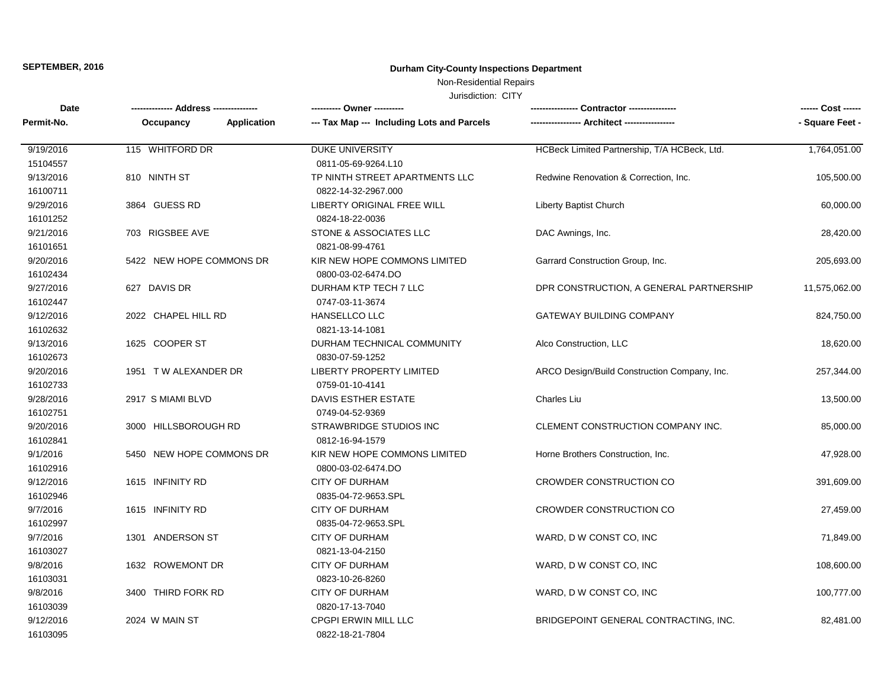Non-Residential Repairs

| Date                 |                          |                    | ---------- Owner ----------                        |                                              | ------ Cost ------ |
|----------------------|--------------------------|--------------------|----------------------------------------------------|----------------------------------------------|--------------------|
| Permit-No.           | Occupancy                | <b>Application</b> | --- Tax Map --- Including Lots and Parcels         |                                              | - Square Feet -    |
| 9/19/2016            | 115 WHITFORD DR          |                    | <b>DUKE UNIVERSITY</b>                             | HCBeck Limited Partnership, T/A HCBeck, Ltd. | 1,764,051.00       |
| 15104557             |                          |                    | 0811-05-69-9264.L10                                |                                              |                    |
| 9/13/2016            | 810 NINTH ST             |                    | TP NINTH STREET APARTMENTS LLC                     | Redwine Renovation & Correction, Inc.        | 105,500.00         |
| 16100711             |                          |                    | 0822-14-32-2967.000                                |                                              |                    |
| 9/29/2016            | 3864 GUESS RD            |                    | LIBERTY ORIGINAL FREE WILL                         | Liberty Baptist Church                       | 60,000.00          |
| 16101252             |                          |                    | 0824-18-22-0036                                    |                                              |                    |
| 9/21/2016            | 703 RIGSBEE AVE          |                    | STONE & ASSOCIATES LLC                             | DAC Awnings, Inc.                            | 28,420.00          |
| 16101651             |                          |                    | 0821-08-99-4761                                    |                                              |                    |
| 9/20/2016            | 5422 NEW HOPE COMMONS DR |                    | KIR NEW HOPE COMMONS LIMITED                       | Garrard Construction Group, Inc.             | 205,693.00         |
| 16102434             |                          |                    | 0800-03-02-6474.DO                                 |                                              |                    |
| 9/27/2016            | 627 DAVIS DR             |                    | DURHAM KTP TECH 7 LLC                              | DPR CONSTRUCTION, A GENERAL PARTNERSHIP      | 11,575,062.00      |
| 16102447             |                          |                    | 0747-03-11-3674                                    |                                              |                    |
| 9/12/2016            | 2022 CHAPEL HILL RD      |                    | <b>HANSELLCO LLC</b>                               | <b>GATEWAY BUILDING COMPANY</b>              | 824,750.00         |
| 16102632             |                          |                    | 0821-13-14-1081                                    |                                              |                    |
| 9/13/2016            | 1625 COOPER ST           |                    | DURHAM TECHNICAL COMMUNITY                         | Alco Construction, LLC                       | 18,620.00          |
| 16102673             |                          |                    | 0830-07-59-1252                                    |                                              |                    |
| 9/20/2016            | 1951 TW ALEXANDER DR     |                    | <b>LIBERTY PROPERTY LIMITED</b>                    | ARCO Design/Build Construction Company, Inc. | 257,344.00         |
| 16102733             |                          |                    | 0759-01-10-4141                                    |                                              |                    |
| 9/28/2016            | 2917 S MIAMI BLVD        |                    | <b>DAVIS ESTHER ESTATE</b>                         | <b>Charles Liu</b>                           | 13,500.00          |
| 16102751             |                          |                    | 0749-04-52-9369                                    |                                              |                    |
| 9/20/2016            | 3000 HILLSBOROUGH RD     |                    | STRAWBRIDGE STUDIOS INC                            | CLEMENT CONSTRUCTION COMPANY INC.            | 85,000.00          |
| 16102841             |                          |                    | 0812-16-94-1579                                    |                                              |                    |
| 9/1/2016<br>16102916 | 5450 NEW HOPE COMMONS DR |                    | KIR NEW HOPE COMMONS LIMITED<br>0800-03-02-6474.DO | Horne Brothers Construction, Inc.            | 47,928.00          |
| 9/12/2016            | 1615 INFINITY RD         |                    | <b>CITY OF DURHAM</b>                              | <b>CROWDER CONSTRUCTION CO</b>               | 391,609.00         |
| 16102946             |                          |                    | 0835-04-72-9653.SPL                                |                                              |                    |
| 9/7/2016             | 1615 INFINITY RD         |                    | <b>CITY OF DURHAM</b>                              | <b>CROWDER CONSTRUCTION CO</b>               | 27,459.00          |
| 16102997             |                          |                    | 0835-04-72-9653.SPL                                |                                              |                    |
| 9/7/2016             | 1301 ANDERSON ST         |                    | <b>CITY OF DURHAM</b>                              | WARD, D W CONST CO, INC                      | 71,849.00          |
| 16103027             |                          |                    | 0821-13-04-2150                                    |                                              |                    |
| 9/8/2016             | 1632 ROWEMONT DR         |                    | <b>CITY OF DURHAM</b>                              | WARD, D W CONST CO, INC                      | 108,600.00         |
| 16103031             |                          |                    | 0823-10-26-8260                                    |                                              |                    |
| 9/8/2016             | 3400 THIRD FORK RD       |                    | <b>CITY OF DURHAM</b>                              | WARD, D W CONST CO, INC                      | 100,777.00         |
| 16103039             |                          |                    | 0820-17-13-7040                                    |                                              |                    |
| 9/12/2016            | 2024 W MAIN ST           |                    | CPGPI ERWIN MILL LLC                               | BRIDGEPOINT GENERAL CONTRACTING, INC.        | 82,481.00          |
| 16103095             |                          |                    | 0822-18-21-7804                                    |                                              |                    |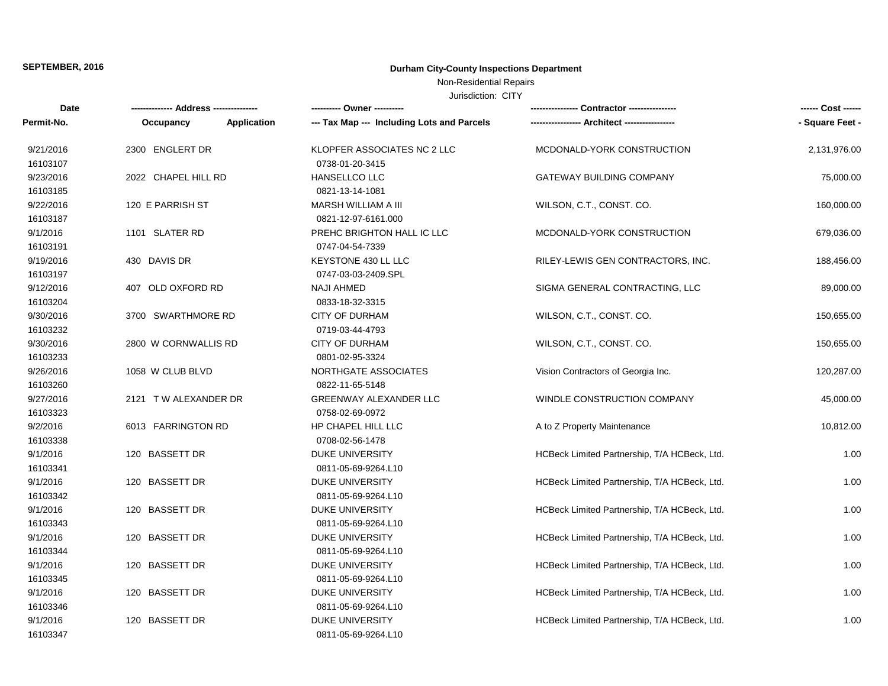### Non-Residential Repairs

| Date       | --- Address -----    |                    | ---- Owner ----------                      | --- Contractor ---------                     | ------ Cost ------ |
|------------|----------------------|--------------------|--------------------------------------------|----------------------------------------------|--------------------|
| Permit-No. | Occupancy            | <b>Application</b> | --- Tax Map --- Including Lots and Parcels |                                              | - Square Feet -    |
| 9/21/2016  | 2300 ENGLERT DR      |                    | KLOPFER ASSOCIATES NC 2 LLC                | MCDONALD-YORK CONSTRUCTION                   | 2,131,976.00       |
| 16103107   |                      |                    | 0738-01-20-3415                            |                                              |                    |
| 9/23/2016  | 2022 CHAPEL HILL RD  |                    | HANSELLCO LLC                              | <b>GATEWAY BUILDING COMPANY</b>              | 75,000.00          |
| 16103185   |                      |                    | 0821-13-14-1081                            |                                              |                    |
| 9/22/2016  | 120 E PARRISH ST     |                    | MARSH WILLIAM A III                        | WILSON, C.T., CONST. CO.                     | 160,000.00         |
| 16103187   |                      |                    | 0821-12-97-6161.000                        |                                              |                    |
| 9/1/2016   | 1101 SLATER RD       |                    | PREHC BRIGHTON HALL IC LLC                 | MCDONALD-YORK CONSTRUCTION                   | 679,036.00         |
| 16103191   |                      |                    | 0747-04-54-7339                            |                                              |                    |
| 9/19/2016  | 430 DAVIS DR         |                    | KEYSTONE 430 LL LLC                        | RILEY-LEWIS GEN CONTRACTORS, INC.            | 188,456.00         |
| 16103197   |                      |                    | 0747-03-03-2409.SPL                        |                                              |                    |
| 9/12/2016  | 407 OLD OXFORD RD    |                    | <b>NAJI AHMED</b>                          | SIGMA GENERAL CONTRACTING, LLC               | 89,000.00          |
| 16103204   |                      |                    | 0833-18-32-3315                            |                                              |                    |
| 9/30/2016  | 3700 SWARTHMORE RD   |                    | <b>CITY OF DURHAM</b>                      | WILSON, C.T., CONST. CO.                     | 150,655.00         |
| 16103232   |                      |                    | 0719-03-44-4793                            |                                              |                    |
| 9/30/2016  | 2800 W CORNWALLIS RD |                    | <b>CITY OF DURHAM</b>                      | WILSON, C.T., CONST. CO.                     | 150,655.00         |
| 16103233   |                      |                    | 0801-02-95-3324                            |                                              |                    |
| 9/26/2016  | 1058 W CLUB BLVD     |                    | NORTHGATE ASSOCIATES                       | Vision Contractors of Georgia Inc.           | 120,287.00         |
| 16103260   |                      |                    | 0822-11-65-5148                            |                                              |                    |
| 9/27/2016  | 2121 TW ALEXANDER DR |                    | GREENWAY ALEXANDER LLC                     | WINDLE CONSTRUCTION COMPANY                  | 45,000.00          |
| 16103323   |                      |                    | 0758-02-69-0972                            |                                              |                    |
| 9/2/2016   | 6013 FARRINGTON RD   |                    | HP CHAPEL HILL LLC                         | A to Z Property Maintenance                  | 10,812.00          |
| 16103338   |                      |                    | 0708-02-56-1478                            |                                              |                    |
| 9/1/2016   | 120 BASSETT DR       |                    | <b>DUKE UNIVERSITY</b>                     | HCBeck Limited Partnership, T/A HCBeck, Ltd. | 1.00               |
| 16103341   |                      |                    | 0811-05-69-9264.L10                        |                                              |                    |
| 9/1/2016   | 120 BASSETT DR       |                    | <b>DUKE UNIVERSITY</b>                     | HCBeck Limited Partnership, T/A HCBeck, Ltd. | 1.00               |
| 16103342   |                      |                    | 0811-05-69-9264.L10                        |                                              |                    |
| 9/1/2016   | 120 BASSETT DR       |                    | <b>DUKE UNIVERSITY</b>                     | HCBeck Limited Partnership, T/A HCBeck, Ltd. | 1.00               |
| 16103343   |                      |                    | 0811-05-69-9264.L10                        |                                              |                    |
| 9/1/2016   | 120 BASSETT DR       |                    | <b>DUKE UNIVERSITY</b>                     | HCBeck Limited Partnership, T/A HCBeck, Ltd. | 1.00               |
| 16103344   |                      |                    | 0811-05-69-9264.L10                        |                                              |                    |
| 9/1/2016   | 120 BASSETT DR       |                    | <b>DUKE UNIVERSITY</b>                     | HCBeck Limited Partnership, T/A HCBeck, Ltd. | 1.00               |
| 16103345   |                      |                    | 0811-05-69-9264.L10                        |                                              |                    |
| 9/1/2016   | 120 BASSETT DR       |                    | <b>DUKE UNIVERSITY</b>                     | HCBeck Limited Partnership, T/A HCBeck, Ltd. | 1.00               |
| 16103346   |                      |                    | 0811-05-69-9264.L10                        |                                              |                    |
| 9/1/2016   | 120 BASSETT DR       |                    | <b>DUKE UNIVERSITY</b>                     | HCBeck Limited Partnership, T/A HCBeck, Ltd. | 1.00               |
| 16103347   |                      |                    | 0811-05-69-9264.L10                        |                                              |                    |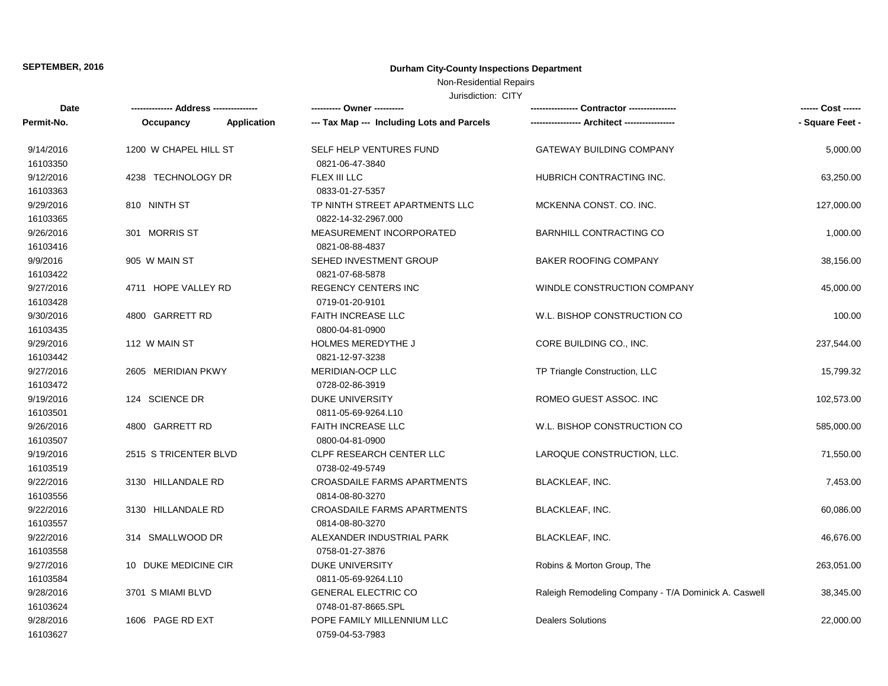### Non-Residential Repairs

| Date       |                       |                    | ---------- Owner ----------                | Contractor ----------------                          | ------ Cost ------ |
|------------|-----------------------|--------------------|--------------------------------------------|------------------------------------------------------|--------------------|
| Permit-No. | Occupancy             | <b>Application</b> | --- Tax Map --- Including Lots and Parcels |                                                      | - Square Feet -    |
| 9/14/2016  | 1200 W CHAPEL HILL ST |                    | SELF HELP VENTURES FUND                    | GATEWAY BUILDING COMPANY                             | 5,000.00           |
| 16103350   |                       |                    | 0821-06-47-3840                            |                                                      |                    |
| 9/12/2016  | 4238 TECHNOLOGY DR    |                    | FLEX III LLC                               | HUBRICH CONTRACTING INC.                             | 63,250.00          |
| 16103363   |                       |                    | 0833-01-27-5357                            |                                                      |                    |
| 9/29/2016  | 810 NINTH ST          |                    | TP NINTH STREET APARTMENTS LLC             | MCKENNA CONST. CO. INC.                              | 127,000.00         |
| 16103365   |                       |                    | 0822-14-32-2967.000                        |                                                      |                    |
| 9/26/2016  | 301 MORRIS ST         |                    | MEASUREMENT INCORPORATED                   | <b>BARNHILL CONTRACTING CO</b>                       | 1,000.00           |
| 16103416   |                       |                    | 0821-08-88-4837                            |                                                      |                    |
| 9/9/2016   | 905 W MAIN ST         |                    | SEHED INVESTMENT GROUP                     | <b>BAKER ROOFING COMPANY</b>                         | 38,156.00          |
| 16103422   |                       |                    | 0821-07-68-5878                            |                                                      |                    |
| 9/27/2016  | 4711 HOPE VALLEY RD   |                    | <b>REGENCY CENTERS INC</b>                 | WINDLE CONSTRUCTION COMPANY                          | 45,000.00          |
| 16103428   |                       |                    | 0719-01-20-9101                            |                                                      |                    |
| 9/30/2016  | 4800 GARRETT RD       |                    | <b>FAITH INCREASE LLC</b>                  | W.L. BISHOP CONSTRUCTION CO                          | 100.00             |
| 16103435   |                       |                    | 0800-04-81-0900                            |                                                      |                    |
| 9/29/2016  | 112 W MAIN ST         |                    | <b>HOLMES MEREDYTHE J</b>                  | CORE BUILDING CO., INC.                              | 237,544.00         |
| 16103442   |                       |                    | 0821-12-97-3238                            |                                                      |                    |
| 9/27/2016  | 2605 MERIDIAN PKWY    |                    | MERIDIAN-OCP LLC                           | TP Triangle Construction, LLC                        | 15,799.32          |
| 16103472   |                       |                    | 0728-02-86-3919                            |                                                      |                    |
| 9/19/2016  | 124 SCIENCE DR        |                    | <b>DUKE UNIVERSITY</b>                     | ROMEO GUEST ASSOC. INC                               | 102,573.00         |
| 16103501   |                       |                    | 0811-05-69-9264.L10                        |                                                      |                    |
| 9/26/2016  | 4800 GARRETT RD       |                    | <b>FAITH INCREASE LLC</b>                  | W.L. BISHOP CONSTRUCTION CO                          | 585,000.00         |
| 16103507   |                       |                    | 0800-04-81-0900                            |                                                      |                    |
| 9/19/2016  | 2515 S TRICENTER BLVD |                    | CLPF RESEARCH CENTER LLC                   | LAROQUE CONSTRUCTION, LLC.                           | 71,550.00          |
| 16103519   |                       |                    | 0738-02-49-5749                            |                                                      |                    |
| 9/22/2016  | 3130 HILLANDALE RD    |                    | <b>CROASDAILE FARMS APARTMENTS</b>         | <b>BLACKLEAF, INC.</b>                               | 7,453.00           |
| 16103556   |                       |                    | 0814-08-80-3270                            |                                                      |                    |
| 9/22/2016  | 3130 HILLANDALE RD    |                    | <b>CROASDAILE FARMS APARTMENTS</b>         | <b>BLACKLEAF, INC.</b>                               | 60,086.00          |
| 16103557   |                       |                    | 0814-08-80-3270                            |                                                      |                    |
| 9/22/2016  | 314 SMALLWOOD DR      |                    | ALEXANDER INDUSTRIAL PARK                  | <b>BLACKLEAF, INC.</b>                               | 46,676.00          |
| 16103558   |                       |                    | 0758-01-27-3876                            |                                                      |                    |
| 9/27/2016  | 10 DUKE MEDICINE CIR  |                    | DUKE UNIVERSITY                            | Robins & Morton Group, The                           | 263,051.00         |
| 16103584   |                       |                    | 0811-05-69-9264.L10                        |                                                      |                    |
| 9/28/2016  | 3701 S MIAMI BLVD     |                    | <b>GENERAL ELECTRIC CO</b>                 | Raleigh Remodeling Company - T/A Dominick A. Caswell | 38,345.00          |
| 16103624   |                       |                    | 0748-01-87-8665.SPL                        |                                                      |                    |
| 9/28/2016  | 1606 PAGE RD EXT      |                    | POPE FAMILY MILLENNIUM LLC                 | <b>Dealers Solutions</b>                             | 22,000.00          |
| 16103627   |                       |                    | 0759-04-53-7983                            |                                                      |                    |